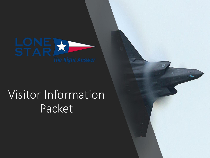

## Visitor Information Packet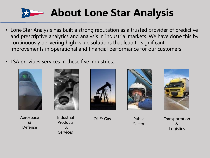

- Lone Star Analysis has built a strong reputation as a trusted provider of predictive and prescriptive analytics and analysis in industrial markets. We have done this by continuously delivering high value solutions that lead to significant improvements in operational and financial performance for our customers.
- LSA provides services in these five industries:





 $\mathcal{R}_{\mathcal{U}}$ Defense

Industrial Products & **Services** Aerospace Industrial Oil & Gas





Public Sector

**Transportation**  $\lambda$ **Logistics**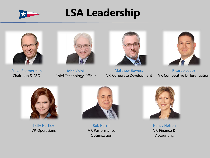

## **LSA Leadership**



Matthew Bowers VP, Corporate Development



Steve Roemerman Chairman & CEO

John Volpi Chief Technology Officer

Ricardo Lopez VP, Competitive Differentiation



Kelly Hartley VP, Operations



Rob Harrill VP, Performance Optimization



Nancy Nelson VP, Finance & Accounting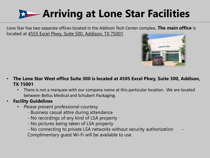## **Arriving at Lone Star Facilities**

Lone Star has two separate offices located in the Addison Tech Center complex**. The main office** is located at 4555 Excel Pkwy, Suite 500, Addison, TX 75001



- **The Lone Star West office Suite 300 is located at 4505 Excel Pkwy, Suite 300, Addison, TX 75001**
	- There is not a marquee with our company name at this particular location. We are located between Bellus Medical and Schubert Packaging.
- **Facility Guidelines**
	- Please present professional courtesy
		- Business casual attire during attendance
		- No recordings of any kind of LSA property
		- No pictures being taken of LSA property
		- No connecting to private LSA networks without security authorization -

Complimentary guest Wi-Fi will be available to use